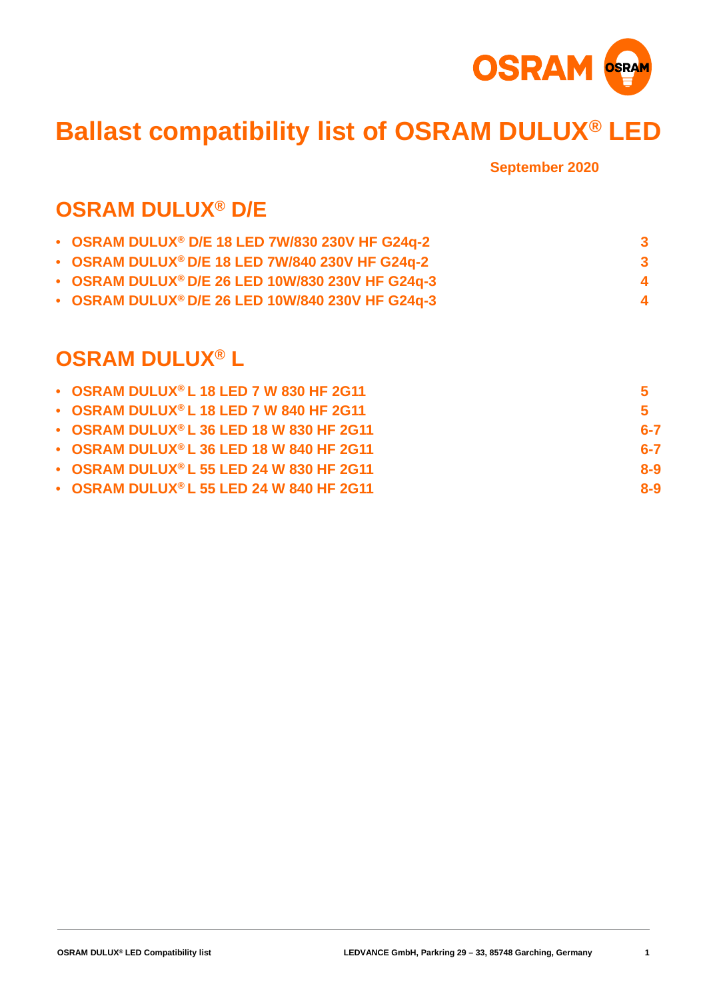

# **Ballast compatibility list of OSRAM DULUX® LED**

**September 2020**

#### **OSRAM DULUX® D/E**

| • OSRAM DULUX <sup>®</sup> D/E 18 LED 7W/830 230V HF G24q-2 |             |
|-------------------------------------------------------------|-------------|
| • OSRAM DULUX® D/E 18 LED 7W/840 230V HF G24q-2             | -3          |
| • OSRAM DULUX® D/E 26 LED 10W/830 230V HF G24q-3            | $\mathbf 4$ |
| • OSRAM DULUX® D/E 26 LED 10W/840 230V HF G24q-3            |             |

#### **[OSRAM DULUX](#page-3-0)® L**

| • OSRAM DULUX® L 18 LED 7 W 830 HF 2G11          | 5       |
|--------------------------------------------------|---------|
| $\bullet$ OSRAM DULUX® L 18 LED 7 W 840 HF 2G11  | 5       |
| $\bullet$ OSRAM DULUX® L 36 LED 18 W 830 HF 2G11 | $6 - 7$ |
| $\bullet$ OSRAM DULUX® L 36 LED 18 W 840 HF 2G11 | $6 - 7$ |
| $\bullet$ OSRAM DULUX® L 55 LED 24 W 830 HF 2G11 | $8-9$   |
| $\bullet$ OSRAM DULUX® L 55 LED 24 W 840 HF 2G11 | $8-9$   |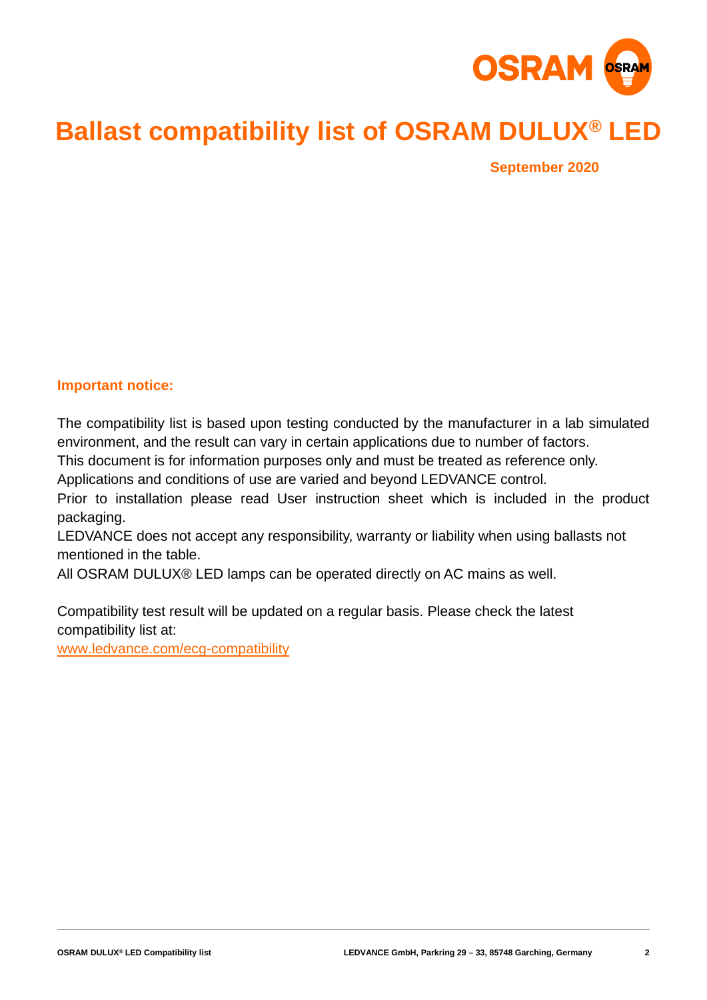

# **Ballast compatibility list of OSRAM DULUX® LED**

**September 2020**

#### **Important notice:**

The compatibility list is based upon testing conducted by the manufacturer in a lab simulated environment, and the result can vary in certain applications due to number of factors.

This document is for information purposes only and must be treated as reference only.

Applications and conditions of use are varied and beyond LEDVANCE control.

Prior to installation please read User instruction sheet which is included in the product packaging.

LEDVANCE does not accept any responsibility, warranty or liability when using ballasts not mentioned in the table.

All OSRAM DULUX® LED lamps can be operated directly on AC mains as well.

Compatibility test result will be updated on a regular basis. Please check the latest compatibility list at:

www.ledvance.com/ecg-compatibility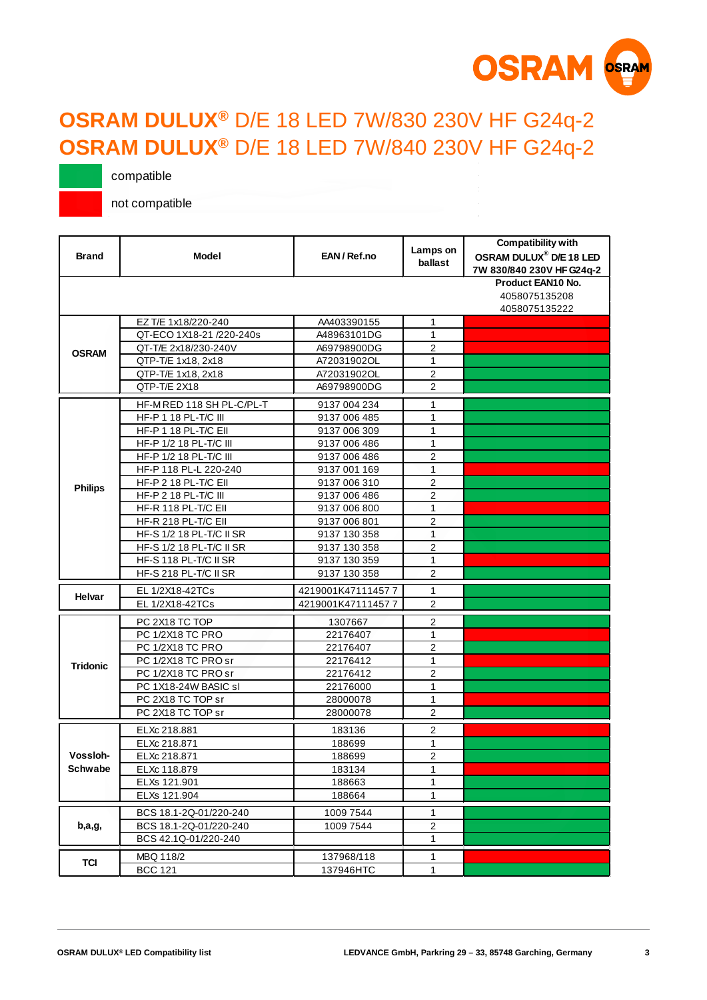

#### <span id="page-2-0"></span>**OSRAM DULUX®** D/E 18 LED 7W/830 230V HF G24q-2 **OSRAM DULUX®** D/E 18 LED 7W/840 230V HF G24q-2

compatible

| <b>Brand</b>    | <b>Model</b>                 | EAN/Ref.no        | Lamps on<br>ballast | <b>Compatibility with</b><br>OSRAM DULUX <sup>®</sup> D/E 18 LED<br>7W 830/840 230V HF G24q-2 |
|-----------------|------------------------------|-------------------|---------------------|-----------------------------------------------------------------------------------------------|
|                 |                              |                   |                     | Product EAN10 No.<br>4058075135208<br>4058075135222                                           |
|                 | EZ T/E 1x18/220-240          | AA403390155       | 1                   |                                                                                               |
|                 | QT-ECO 1X18-21 /220-240s     | A48963101DG       | $\mathbf{1}$        |                                                                                               |
| <b>OSRAM</b>    | QT-T/E 2x18/230-240V         | A69798900DG       | $\overline{2}$      |                                                                                               |
|                 | QTP-T/E 1x18, 2x18           | A72031902OL       | $\mathbf{1}$        |                                                                                               |
|                 | QTP-T/E 1x18, 2x18           | A72031902OL       | $\overline{2}$      |                                                                                               |
|                 | QTP-T/E 2X18                 | A69798900DG       | $\overline{2}$      |                                                                                               |
|                 | HF-MRED 118 SH PL-C/PL-T     | 9137 004 234      | 1                   |                                                                                               |
|                 | HF-P 1 18 PL-T/C III         | 9137 006 485      | 1                   |                                                                                               |
|                 | HF-P 1 18 PL-T/C Ell         | 9137 006 309      | 1                   |                                                                                               |
|                 | HF-P 1/2 18 PL-T/C III       | 9137 006 486      | 1                   |                                                                                               |
|                 | HF-P 1/2 18 PL-T/C III       | 9137 006 486      | $\overline{2}$      |                                                                                               |
|                 | HF-P 118 PL-L 220-240        | 9137 001 169      | $\mathbf{1}$        |                                                                                               |
| <b>Philips</b>  | <b>HF-P 2 18 PL-T/C EII</b>  | 9137 006 310      | $\overline{2}$      |                                                                                               |
|                 | <b>HF-P 2 18 PL-T/C III</b>  | 9137 006 486      | $\overline{2}$      |                                                                                               |
|                 | HF-R 118 PL-T/C EII          | 9137 006 800      | 1                   |                                                                                               |
|                 | <b>HF-R 218 PL-T/C EII</b>   | 9137 006 801      | 2                   |                                                                                               |
|                 | HF-S 1/2 18 PL-T/C II SR     | 9137 130 358      | 1                   |                                                                                               |
|                 | HF-S 1/2 18 PL-T/C II SR     | 9137 130 358      | $\overline{2}$      |                                                                                               |
|                 | <b>HF-S 118 PL-T/C II SR</b> | 9137 130 359      | $\mathbf{1}$        |                                                                                               |
|                 | HF-S 218 PL-T/C II SR        | 9137 130 358      | 2                   |                                                                                               |
|                 | EL 1/2X18-42TCs              | 4219001K471114577 | $\mathbf{1}$        |                                                                                               |
| Helvar          | EL 1/2X18-42TCs              | 4219001K471114577 | $\overline{2}$      |                                                                                               |
|                 | PC 2X18 TC TOP               | 1307667           | $\overline{2}$      |                                                                                               |
|                 | PC 1/2X18 TC PRO             | 22176407          | 1                   |                                                                                               |
|                 | PC 1/2X18 TC PRO             | 22176407          | 2                   |                                                                                               |
| <b>Tridonic</b> | PC 1/2X18 TC PROsr           | 22176412          | $\mathbf{1}$        |                                                                                               |
|                 | PC 1/2X18 TC PRO sr          | 22176412          | $\overline{2}$      |                                                                                               |
|                 | PC 1X18-24W BASIC sl         | 22176000          | 1                   |                                                                                               |
|                 | PC 2X18 TC TOP sr            | 28000078          | 1                   |                                                                                               |
|                 | PC 2X18 TC TOP sr            | 28000078          | $\overline{2}$      |                                                                                               |
|                 | ELXc 218.881                 | 183136            | $\overline{2}$      |                                                                                               |
|                 | ELXc 218.871                 | 188699            | 1                   |                                                                                               |
| Vossloh-        | ELXc 218.871                 | 188699            | $\overline{2}$      |                                                                                               |
| Schwabe         | ELXc 118.879                 | 183134            | 1                   |                                                                                               |
|                 | ELXs 121.901                 | 188663            | $\mathbf{1}$        |                                                                                               |
|                 | ELXs 121.904                 | 188664            | $\mathbf{1}$        |                                                                                               |
|                 | BCS 18.1-2Q-01/220-240       | 1009 7544         | 1                   |                                                                                               |
| b,a,g,          | BCS 18.1-2Q-01/220-240       | 1009 7544         | $\overline{2}$      |                                                                                               |
|                 | BCS 42.1Q-01/220-240         |                   | $\mathbf{1}$        |                                                                                               |
|                 |                              |                   |                     |                                                                                               |
| <b>TCI</b>      | MBQ 118/2                    | 137968/118        | 1                   |                                                                                               |
|                 | <b>BCC 121</b>               | 137946HTC         | 1                   |                                                                                               |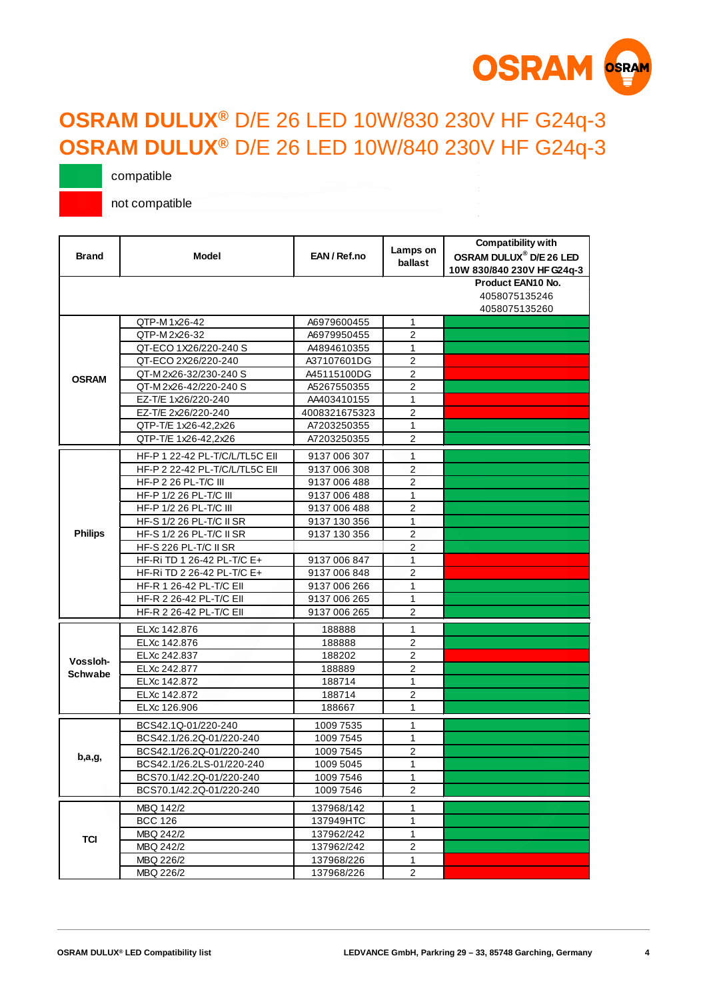

#### <span id="page-3-0"></span>**OSRAM DULUX®** D/E 26 LED 10W/830 230V HF G24q-3 **OSRAM DULUX®** D/E 26 LED 10W/840 230V HF G24q-3

compatible

| <b>Brand</b>   | <b>Model</b>                   | EAN/Ref.no    | Lamps on<br>ballast | <b>Compatibility with</b><br>OSRAM DULUX <sup>®</sup> D/E 26 LED<br>10W 830/840 230V HF G24q-3 |
|----------------|--------------------------------|---------------|---------------------|------------------------------------------------------------------------------------------------|
|                |                                |               |                     | Product EAN10 No.<br>4058075135246<br>4058075135260                                            |
|                | QTP-M1x26-42                   | A6979600455   | 1                   |                                                                                                |
|                | QTP-M 2x26-32                  | A6979950455   | 2                   |                                                                                                |
|                | QT-ECO 1X26/220-240 S          | A4894610355   | 1                   |                                                                                                |
|                | QT-ECO 2X26/220-240            | A37107601DG   | $\overline{2}$      |                                                                                                |
| <b>OSRAM</b>   | QT-M2x26-32/230-240 S          | A45115100DG   | $\overline{2}$      |                                                                                                |
|                | QT-M2x26-42/220-240 S          | A5267550355   | 2                   |                                                                                                |
|                | EZ-T/E 1x26/220-240            | AA403410155   | 1                   |                                                                                                |
|                | EZ-T/E 2x26/220-240            | 4008321675323 | $\overline{2}$      |                                                                                                |
|                | QTP-T/E 1x26-42,2x26           | A7203250355   | 1                   |                                                                                                |
|                | QTP-T/E 1x26-42,2x26           | A7203250355   | $\overline{2}$      |                                                                                                |
|                | HF-P 1 22-42 PL-T/C/L/TL5C EII | 9137 006 307  | 1                   |                                                                                                |
|                | HF-P 2 22-42 PL-T/C/L/TL5C EII | 9137 006 308  | $\overline{2}$      |                                                                                                |
|                | <b>HF-P 2 26 PL-T/C III</b>    | 9137 006 488  | $\overline{2}$      |                                                                                                |
|                | HF-P 1/2 26 PL-T/C III         | 9137 006 488  | 1                   |                                                                                                |
|                | HF-P 1/2 26 PL-T/C III         | 9137 006 488  | $\overline{2}$      |                                                                                                |
|                | HF-S 1/2 26 PL-T/C II SR       | 9137 130 356  | 1                   |                                                                                                |
| <b>Philips</b> | HF-S 1/2 26 PL-T/C II SR       | 9137 130 356  | 2                   |                                                                                                |
|                | HF-S 226 PL-T/C II SR          |               | 2                   |                                                                                                |
|                | HF-Ri TD 1 26-42 PL-T/C E+     | 9137 006 847  | $\mathbf{1}$        |                                                                                                |
|                | HF-Ri TD 2 26-42 PL-T/C E+     | 9137 006 848  | $\overline{2}$      |                                                                                                |
|                | HF-R 1 26-42 PL-T/C EII        | 9137 006 266  | 1                   |                                                                                                |
|                | HF-R 2 26-42 PL-T/C EII        | 9137 006 265  | 1                   |                                                                                                |
|                | HF-R 2 26-42 PL-T/C EII        | 9137 006 265  | $\overline{2}$      |                                                                                                |
|                | ELXc 142.876                   | 188888        | $\mathbf{1}$        |                                                                                                |
|                | ELXc 142.876                   | 188888        | 2                   |                                                                                                |
|                | ELXc 242.837                   | 188202        | $\overline{2}$      |                                                                                                |
| Vossloh-       | ELXc 242.877                   | 188889        | $\overline{2}$      |                                                                                                |
| Schwabe        | ELXc 142.872                   | 188714        | $\mathbf{1}$        |                                                                                                |
|                | ELXc 142.872                   | 188714        | 2                   |                                                                                                |
|                | ELXc 126.906                   | 188667        | 1                   |                                                                                                |
|                | BCS42.1Q-01/220-240            | 1009 7535     | 1                   |                                                                                                |
|                | BCS42.1/26.2Q-01/220-240       | 1009 7545     | 1                   |                                                                                                |
|                | BCS42.1/26.2Q-01/220-240       | 1009 7545     | 2                   |                                                                                                |
| b,a,g,         | BCS42.1/26.2LS-01/220-240      | 1009 5045     | 1                   |                                                                                                |
|                | BCS70.1/42.2Q-01/220-240       | 1009 7546     | 1                   |                                                                                                |
|                | BCS70.1/42.2Q-01/220-240       | 1009 7546     | $\overline{2}$      |                                                                                                |
|                |                                |               |                     |                                                                                                |
|                | MBQ 142/2                      | 137968/142    | 1                   |                                                                                                |
|                | <b>BCC 126</b>                 | 137949HTC     | 1                   |                                                                                                |
| <b>TCI</b>     | MBQ 242/2                      | 137962/242    | 1                   |                                                                                                |
|                | MBQ 242/2                      | 137962/242    | $\overline{c}$      |                                                                                                |
|                | MBQ 226/2                      | 137968/226    | 1<br>$\overline{2}$ |                                                                                                |
|                | MBQ 226/2                      | 137968/226    |                     |                                                                                                |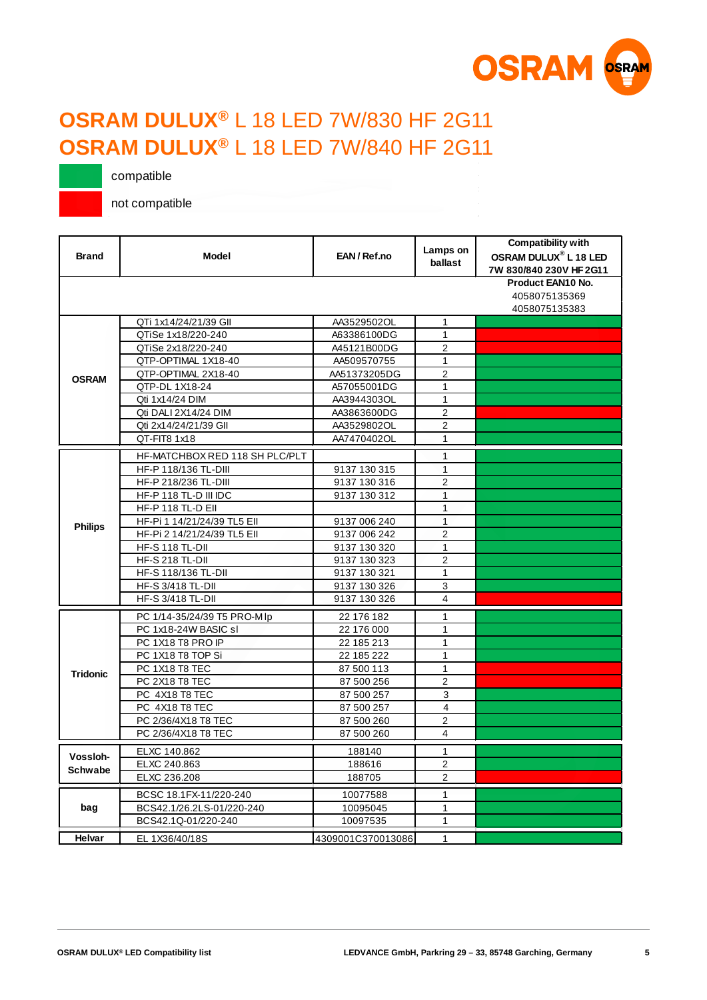

#### <span id="page-4-0"></span>**OSRAM DULUX®** L 18 LED 7W/830 HF 2G11 **OSRAM DULUX®** L 18 LED 7W/840 HF 2G11

compatible

| <b>Brand</b>    | <b>Model</b>                   | EAN/Ref.no        | Lamps on<br>ballast     | Compatibility with<br><b>OSRAM DULUX<sup>®</sup> L 18 LED</b><br>7W 830/840 230V HF 2G11 |
|-----------------|--------------------------------|-------------------|-------------------------|------------------------------------------------------------------------------------------|
|                 |                                |                   |                         | Product EAN10 No.<br>4058075135369<br>4058075135383                                      |
|                 | QTi 1x14/24/21/39 GII          | AA3529502OL       | $\mathbf{1}$            |                                                                                          |
|                 | QTiSe 1x18/220-240             | A63386100DG       | 1                       |                                                                                          |
|                 | QTiSe 2x18/220-240             | A45121B00DG       | $\overline{2}$          |                                                                                          |
|                 | QTP-OPTIMAL 1X18-40            | AA509570755       | $\mathbf{1}$            |                                                                                          |
| <b>OSRAM</b>    | QTP-OPTIMAL 2X18-40            | AA51373205DG      | $\overline{2}$          |                                                                                          |
|                 | QTP-DL 1X18-24                 | A57055001DG       | $\mathbf{1}$            |                                                                                          |
|                 | Qti 1x14/24 DIM                | AA3944303OL       | $\mathbf{1}$            |                                                                                          |
|                 | Qti DALI 2X14/24 DIM           | AA3863600DG       | 2                       |                                                                                          |
|                 | Qti 2x14/24/21/39 GII          | AA3529802OL       | $\overline{2}$          |                                                                                          |
|                 | QT-FIT8 1x18                   | AA7470402OL       | $\mathbf{1}$            |                                                                                          |
|                 | HF-MATCHBOX RED 118 SH PLC/PLT |                   | $\mathbf{1}$            |                                                                                          |
|                 | HF-P 118/136 TL-DIII           | 9137 130 315      | $\mathbf{1}$            |                                                                                          |
|                 | HF-P 218/236 TL-DIII           | 9137 130 316      | $\overline{2}$          |                                                                                          |
|                 | HF-P 118 TL-D III IDC          | 9137 130 312      | $\mathbf{1}$            |                                                                                          |
|                 | HF-P 118 TL-D Ell              |                   | $\mathbf{1}$            |                                                                                          |
|                 | HF-Pi 1 14/21/24/39 TL5 Ell    | 9137 006 240      | $\mathbf{1}$            |                                                                                          |
| <b>Philips</b>  | HF-Pi 2 14/21/24/39 TL5 Ell    | 9137 006 242      | $\overline{2}$          |                                                                                          |
|                 | <b>HF-S 118 TL-DII</b>         | 9137 130 320      | $\mathbf{1}$            |                                                                                          |
|                 | <b>HF-S 218 TL-DII</b>         | 9137 130 323      | $\overline{2}$          |                                                                                          |
|                 | <b>HF-S 118/136 TL-DII</b>     | 9137 130 321      | $\mathbf{1}$            |                                                                                          |
|                 | <b>HF-S 3/418 TL-DII</b>       | 9137 130 326      | 3                       |                                                                                          |
|                 | <b>HF-S 3/418 TL-DII</b>       | 9137 130 326      | $\overline{\mathbf{4}}$ |                                                                                          |
|                 | PC 1/14-35/24/39 T5 PRO-MIp    | 22 176 182        | $\mathbf{1}$            |                                                                                          |
|                 | PC 1x18-24W BASIC sl           | 22 176 000        | 1                       |                                                                                          |
|                 | PC 1X18 T8 PRO IP              | 22 185 213        | 1                       |                                                                                          |
|                 | PC 1X18 T8 TOP Si              | 22 185 222        | $\mathbf{1}$            |                                                                                          |
| <b>Tridonic</b> | PC 1X18 T8 TEC                 | 87 500 113        | $\mathbf{1}$            |                                                                                          |
|                 | PC 2X18 T8 TEC                 | 87 500 256        | $\overline{2}$          |                                                                                          |
|                 | PC 4X18 T8 TEC                 | 87 500 257        | 3                       |                                                                                          |
|                 | PC 4X18 T8 TEC                 | 87 500 257        | 4                       |                                                                                          |
|                 | PC 2/36/4X18 T8 TEC            | 87 500 260        | $\overline{2}$          |                                                                                          |
|                 | PC 2/36/4X18 T8 TEC            | 87 500 260        | $\overline{4}$          |                                                                                          |
|                 | ELXC 140.862                   | 188140            | $\mathbf{1}$            |                                                                                          |
| Vossloh-        | ELXC 240.863                   | 188616            | 2                       |                                                                                          |
| <b>Schwabe</b>  | ELXC 236.208                   | 188705            | $\overline{2}$          |                                                                                          |
|                 | BCSC 18.1FX-11/220-240         | 10077588          | $\mathbf{1}$            |                                                                                          |
| bag             | BCS42.1/26.2LS-01/220-240      | 10095045          | 1                       |                                                                                          |
|                 | BCS42.1Q-01/220-240            | 10097535          | $\mathbf{1}$            |                                                                                          |
|                 |                                |                   |                         |                                                                                          |
| Helvar          | EL 1X36/40/18S                 | 4309001C370013086 | $\mathbf{1}$            |                                                                                          |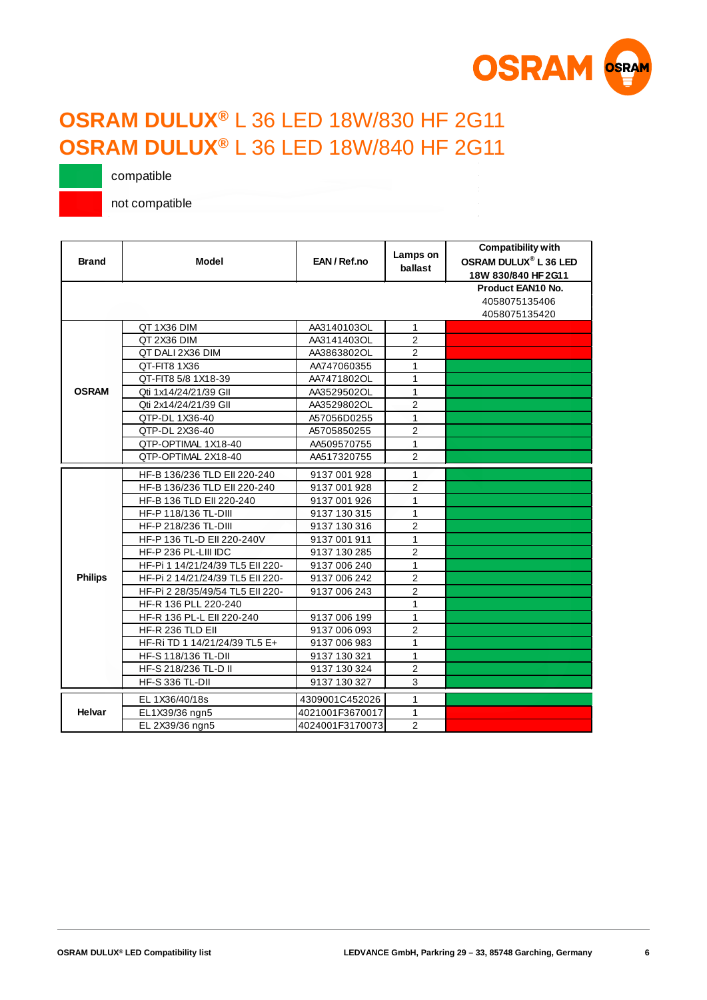

## **OSRAM DULUX®** L 36 LED 18W/830 HF 2G11 **OSRAM DULUX®** L 36 LED 18W/840 HF 2G11

compatible

| <b>Brand</b>   | <b>Model</b>                     | EAN/Ref.no      | Lamps on<br>ballast | <b>Compatibility with</b><br>OSRAM DULUX <sup>®</sup> L 36 LED<br>18W 830/840 HF 2G11 |
|----------------|----------------------------------|-----------------|---------------------|---------------------------------------------------------------------------------------|
|                |                                  |                 |                     | Product EAN10 No.<br>4058075135406<br>4058075135420                                   |
|                | QT 1X36 DIM                      | AA3140103OL     | $\mathbf{1}$        |                                                                                       |
|                | QT 2X36 DIM                      | AA3141403OL     | $\overline{2}$      |                                                                                       |
|                | QT DALI 2X36 DIM                 | AA3863802OL     | $\overline{2}$      |                                                                                       |
|                | QT-FIT8 1X36                     | AA747060355     | $\mathbf{1}$        |                                                                                       |
|                | QT-FIT8 5/8 1X18-39              | AA7471802OL     | 1                   |                                                                                       |
| <b>OSRAM</b>   | Qti 1x14/24/21/39 GII            | AA3529502OL     | $\mathbf{1}$        |                                                                                       |
|                | Qti 2x14/24/21/39 GII            | AA3529802OL     | $\overline{2}$      |                                                                                       |
|                | QTP-DL 1X36-40                   | A57056D0255     | $\mathbf{1}$        |                                                                                       |
|                | QTP-DL 2X36-40                   | A5705850255     | $\overline{2}$      |                                                                                       |
|                | QTP-OPTIMAL 1X18-40              | AA509570755     | $\mathbf{1}$        |                                                                                       |
|                | QTP-OPTIMAL 2X18-40              | AA517320755     | 2                   |                                                                                       |
|                | HF-B 136/236 TLD EII 220-240     | 9137 001 928    | $\mathbf{1}$        |                                                                                       |
|                | HF-B 136/236 TLD Ell 220-240     | 9137 001 928    | $\overline{2}$      |                                                                                       |
|                | HF-B 136 TLD Ell 220-240         | 9137 001 926    | $\mathbf{1}$        |                                                                                       |
|                | HF-P 118/136 TL-DIII             | 9137 130 315    | $\mathbf{1}$        |                                                                                       |
|                | HF-P 218/236 TL-DIII             | 9137 130 316    | $\overline{2}$      |                                                                                       |
|                | HF-P 136 TL-D Ell 220-240V       | 9137 001 911    | $\mathbf{1}$        |                                                                                       |
|                | HF-P 236 PL-LIII IDC             | 9137 130 285    | $\overline{2}$      |                                                                                       |
|                | HF-Pi 1 14/21/24/39 TL5 Ell 220- | 9137 006 240    | $\mathbf{1}$        |                                                                                       |
| <b>Philips</b> | HF-Pi 2 14/21/24/39 TL5 Ell 220- | 9137 006 242    | $\overline{2}$      |                                                                                       |
|                | HF-Pi 2 28/35/49/54 TL5 Ell 220- | 9137 006 243    | $\overline{2}$      |                                                                                       |
|                | HF-R 136 PLL 220-240             |                 | $\mathbf{1}$        |                                                                                       |
|                | HF-R 136 PL-L Ell 220-240        | 9137 006 199    | $\mathbf{1}$        |                                                                                       |
|                | HF-R 236 TLD EII                 | 9137 006 093    | $\overline{2}$      |                                                                                       |
|                | HF-Ri TD 1 14/21/24/39 TL5 E+    | 9137 006 983    | $\mathbf{1}$        |                                                                                       |
|                | HF-S 118/136 TL-DII              | 9137 130 321    | $\mathbf{1}$        |                                                                                       |
|                | HF-S 218/236 TL-D II             | 9137 130 324    | $\overline{2}$      |                                                                                       |
|                | <b>HF-S 336 TL-DII</b>           | 9137 130 327    | 3                   |                                                                                       |
|                | EL 1X36/40/18s                   | 4309001C452026  | $\mathbf{1}$        |                                                                                       |
| Helvar         | EL1X39/36 ngn5                   | 4021001F3670017 | $\mathbf{1}$        |                                                                                       |
|                | EL 2X39/36 ngn5                  | 4024001F3170073 | $\overline{2}$      |                                                                                       |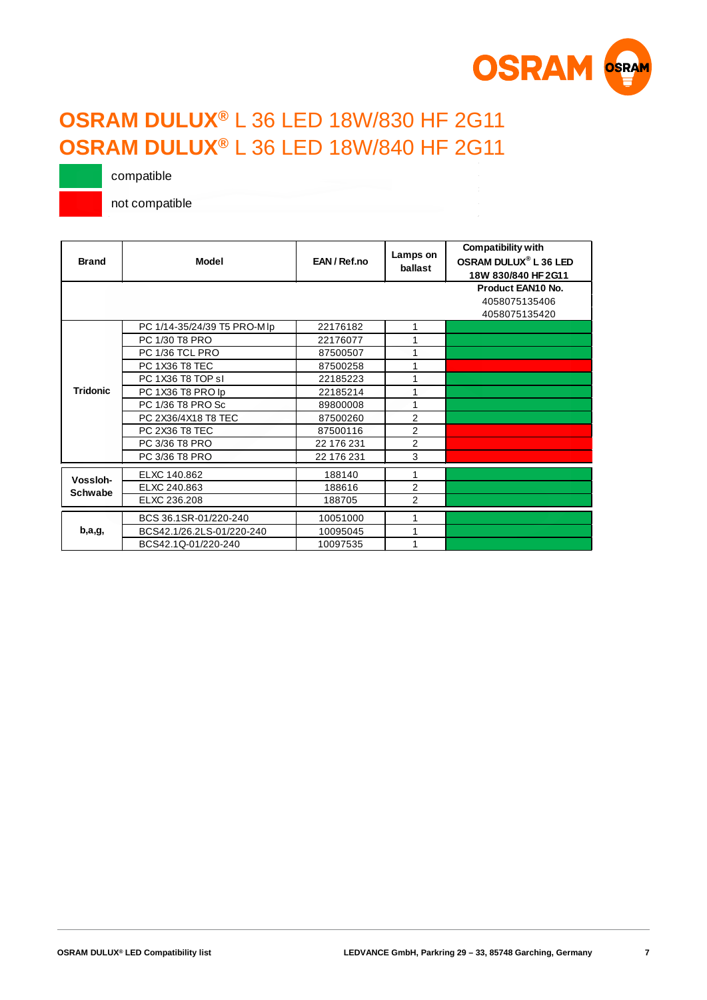

## **OSRAM DULUX®** L 36 LED 18W/830 HF 2G11 **OSRAM DULUX®** L 36 LED 18W/840 HF 2G11

compatible

| <b>Brand</b>    | <b>Model</b>                | EAN/Ref.no | Lamps on<br>ballast | <b>Compatibility with</b><br>OSRAM DULUX <sup>®</sup> L 36 LED<br>18W 830/840 HF 2G11 |
|-----------------|-----------------------------|------------|---------------------|---------------------------------------------------------------------------------------|
|                 |                             |            |                     | Product EAN10 No.                                                                     |
|                 |                             |            |                     | 4058075135406                                                                         |
|                 |                             |            |                     | 4058075135420                                                                         |
|                 | PC 1/14-35/24/39 T5 PRO-MIp | 22176182   | 1                   |                                                                                       |
|                 | PC 1/30 T8 PRO              | 22176077   | 1                   |                                                                                       |
|                 | PC 1/36 TCL PRO             | 87500507   | 1                   |                                                                                       |
|                 | PC 1X36 T8 TEC              | 87500258   | 1                   |                                                                                       |
|                 | PC 1X36 T8 TOP sl           | 22185223   | 1                   |                                                                                       |
| <b>Tridonic</b> | PC 1X36 T8 PRO lp           | 22185214   | 1                   |                                                                                       |
|                 | PC 1/36 T8 PRO Sc           | 89800008   | 1                   |                                                                                       |
|                 | PC 2X36/4X18 T8 TEC         | 87500260   | $\overline{2}$      |                                                                                       |
|                 | PC 2X36 T8 TEC              | 87500116   | $\overline{2}$      |                                                                                       |
|                 | PC 3/36 T8 PRO              | 22 176 231 | $\overline{2}$      |                                                                                       |
|                 | PC 3/36 T8 PRO              | 22 176 231 | 3                   |                                                                                       |
| Vossloh-        | ELXC 140.862                | 188140     | 1                   |                                                                                       |
| <b>Schwabe</b>  | ELXC 240.863                | 188616     | $\overline{2}$      |                                                                                       |
|                 | ELXC 236.208                | 188705     | $\overline{2}$      |                                                                                       |
|                 | BCS 36.1SR-01/220-240       | 10051000   | 1                   |                                                                                       |
| b,a,g,          | BCS42.1/26.2LS-01/220-240   | 10095045   | 1                   |                                                                                       |
|                 | BCS42.1Q-01/220-240         | 10097535   | 1                   |                                                                                       |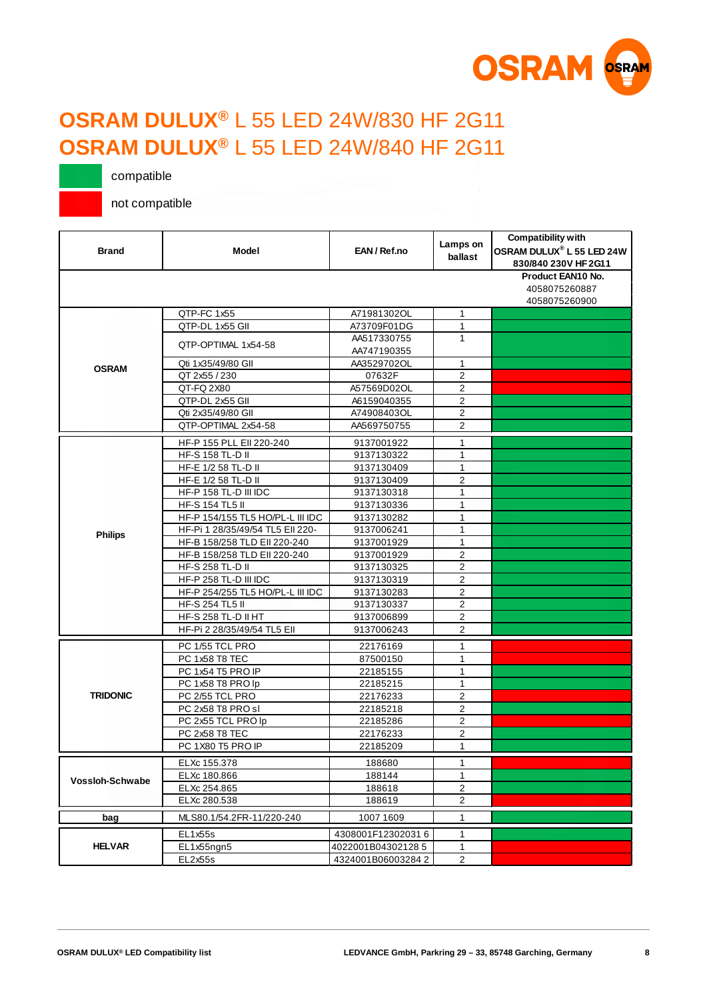

## **OSRAM DULUX®** L 55 LED 24W/830 HF 2G11 **OSRAM DULUX®** L 55 LED 24W/840 HF 2G11

compatible

| <b>Brand</b>           | Model                            | EAN/Ref.no                 | Lamps on<br>ballast     | <b>Compatibility with</b><br>OSRAM DULUX® L 55 LED 24W<br>830/840 230V HF 2G11 |
|------------------------|----------------------------------|----------------------------|-------------------------|--------------------------------------------------------------------------------|
|                        |                                  |                            |                         | Product EAN10 No.<br>4058075260887<br>4058075260900                            |
|                        | QTP-FC 1x55                      | A71981302OL                | 1                       |                                                                                |
|                        | QTP-DL 1x55 GII                  | A73709F01DG                | 1                       |                                                                                |
|                        | OTP-OPTIMAL 1x54-58              | AA517330755<br>AA747190355 | 1                       |                                                                                |
|                        | Qti 1x35/49/80 GII               | AA3529702OL                | 1                       |                                                                                |
| <b>OSRAM</b>           | QT 2x55 / 230                    | 07632F                     | 2                       |                                                                                |
|                        | QT-FQ 2X80                       | A57569D02OL                | $\overline{2}$          |                                                                                |
|                        | QTP-DL 2x55 GII                  | A6159040355                | $\mathbf{2}$            |                                                                                |
|                        | Qti 2x35/49/80 GII               | A74908403OL                | 2                       |                                                                                |
|                        | QTP-OPTIMAL 2x54-58              | AA569750755                | $\overline{2}$          |                                                                                |
|                        |                                  |                            |                         |                                                                                |
|                        | HF-P 155 PLL EII 220-240         | 9137001922                 | 1                       |                                                                                |
|                        | HF-S 158 TL-D II                 | 9137130322                 | $\mathbf{1}$            |                                                                                |
|                        | HF-E 1/2 58 TL-D II              | 9137130409                 | 1                       |                                                                                |
|                        | HF-E 1/2 58 TL-D II              | 9137130409                 | $\overline{2}$          |                                                                                |
|                        | HF-P 158 TL-D III IDC            | 9137130318                 | 1                       |                                                                                |
|                        | HF-S 154 TL5 II                  | 9137130336                 | 1                       |                                                                                |
|                        | HF-P 154/155 TL5 HO/PL-L III IDC | 9137130282                 | 1                       |                                                                                |
| <b>Philips</b>         | HF-Pi 1 28/35/49/54 TL5 Ell 220- | 9137006241                 | $\mathbf{1}$            |                                                                                |
|                        | HF-B 158/258 TLD EII 220-240     | 9137001929                 | $\mathbf{1}$            |                                                                                |
|                        | HF-B 158/258 TLD EII 220-240     | 9137001929                 | $\overline{2}$          |                                                                                |
|                        | HF-S 258 TL-D II                 | 9137130325                 | $\overline{2}$          |                                                                                |
|                        | HF-P 258 TL-D III IDC            | 9137130319                 | $\overline{2}$          |                                                                                |
|                        | HF-P 254/255 TL5 HO/PL-L III IDC | 9137130283                 | $\overline{\mathbf{c}}$ |                                                                                |
|                        | HF-S 254 TL5 II                  | 9137130337                 | $\overline{2}$          |                                                                                |
|                        | <b>HF-S 258 TL-D II HT</b>       | 9137006899                 | $\overline{c}$          |                                                                                |
|                        | HF-Pi 2 28/35/49/54 TL5 Ell      | 9137006243                 | $\overline{2}$          |                                                                                |
|                        | PC 1/55 TCL PRO                  | 22176169                   | $\mathbf{1}$            |                                                                                |
|                        | PC 1x58 T8 TEC                   | 87500150                   | 1                       |                                                                                |
|                        | PC 1x54 T5 PRO IP                | 22185155                   | $\mathbf{1}$            |                                                                                |
|                        | PC 1x58 T8 PRO lp                | 22185215                   | 1                       |                                                                                |
| <b>TRIDONIC</b>        | PC 2/55 TCL PRO                  | 22176233                   | $\overline{2}$          |                                                                                |
|                        | PC 2x58 T8 PRO sl                | 22185218                   | $\overline{2}$          |                                                                                |
|                        | PC 2x55 TCL PRO lp               | 22185286                   | $\overline{2}$          |                                                                                |
|                        | PC 2x58 T8 TEC                   | 22176233                   | $\overline{2}$          |                                                                                |
|                        | PC 1X80 T5 PRO IP                | 22185209                   | $\mathbf{1}$            |                                                                                |
|                        | ELXc 155.378                     | 188680                     | 1                       |                                                                                |
|                        | ELXc 180.866                     | 188144                     | 1                       |                                                                                |
| <b>Vossloh-Schwabe</b> | ELXc 254.865                     | 188618                     | $\overline{2}$          |                                                                                |
|                        | ELXc 280.538                     | 188619                     | $\overline{2}$          |                                                                                |
|                        |                                  |                            |                         |                                                                                |
| bag                    | MLS80.1/54.2FR-11/220-240        | 1007 1609                  | 1                       |                                                                                |
|                        | EL1x55s                          | 4308001F123020316          | 1                       |                                                                                |
| <b>HELVAR</b>          | EL1x55ngn5                       | 4022001B043021285          | 1                       |                                                                                |
|                        | EL2x55s                          | 4324001B060032842          | $\overline{\mathbf{c}}$ |                                                                                |